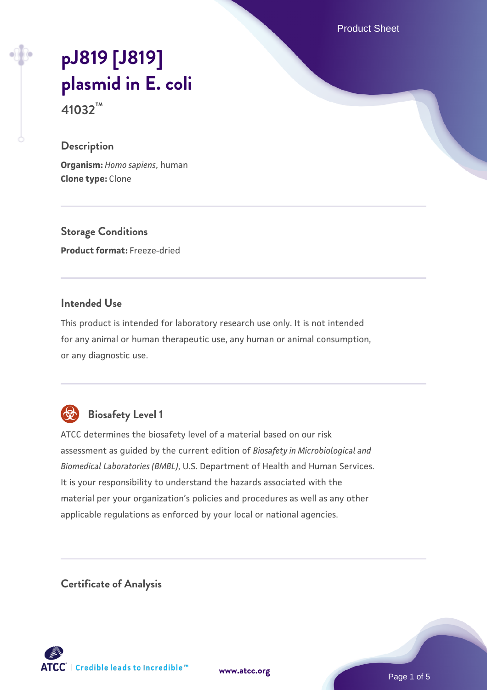Product Sheet

# **[pJ819 \[J819\]](https://www.atcc.org/products/41032) [plasmid in E. coli](https://www.atcc.org/products/41032)**

**41032™**

## **Description**

**Organism:** *Homo sapiens*, human **Clone type:** Clone

**Storage Conditions Product format:** Freeze-dried

## **Intended Use**

This product is intended for laboratory research use only. It is not intended for any animal or human therapeutic use, any human or animal consumption, or any diagnostic use.



# **Biosafety Level 1**

ATCC determines the biosafety level of a material based on our risk assessment as guided by the current edition of *Biosafety in Microbiological and Biomedical Laboratories (BMBL)*, U.S. Department of Health and Human Services. It is your responsibility to understand the hazards associated with the material per your organization's policies and procedures as well as any other applicable regulations as enforced by your local or national agencies.

**Certificate of Analysis**

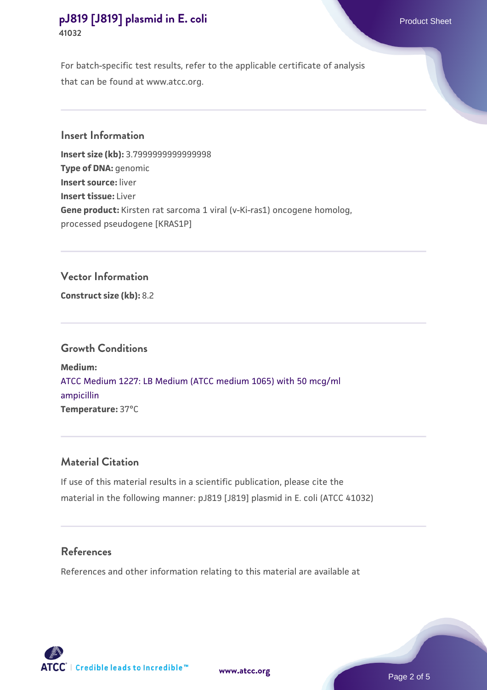For batch-specific test results, refer to the applicable certificate of analysis that can be found at www.atcc.org.

**Insert Information**

**Insert size (kb):** 3.7999999999999998 **Type of DNA:** genomic **Insert source:** liver **Insert tissue:** Liver **Gene product:** Kirsten rat sarcoma 1 viral (v-Ki-ras1) oncogene homolog, processed pseudogene [KRAS1P]

## **Vector Information**

**Construct size (kb):** 8.2

#### **Growth Conditions**

**Medium:**  [ATCC Medium 1227: LB Medium \(ATCC medium 1065\) with 50 mcg/ml](https://www.atcc.org/-/media/product-assets/documents/microbial-media-formulations/1/2/2/7/atcc-medium-1227.pdf?rev=581c98603b3e4b29a6d62ee0ba9ca578) [ampicillin](https://www.atcc.org/-/media/product-assets/documents/microbial-media-formulations/1/2/2/7/atcc-medium-1227.pdf?rev=581c98603b3e4b29a6d62ee0ba9ca578) **Temperature:** 37°C

#### **Material Citation**

If use of this material results in a scientific publication, please cite the material in the following manner: pJ819 [J819] plasmid in E. coli (ATCC 41032)

#### **References**

References and other information relating to this material are available at



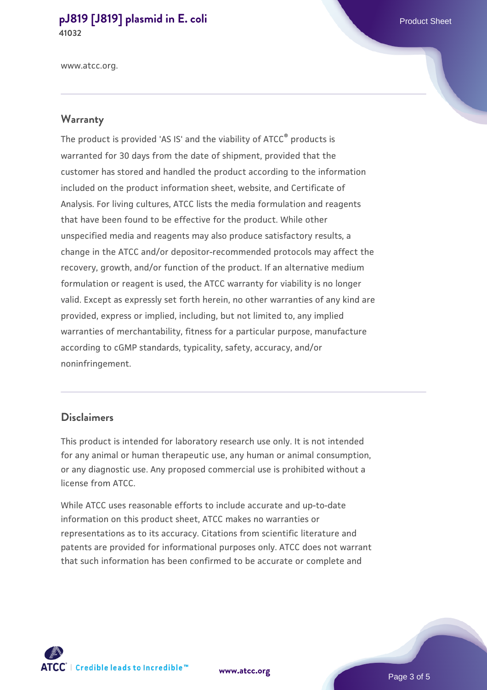www.atcc.org.

#### **Warranty**

The product is provided 'AS IS' and the viability of ATCC® products is warranted for 30 days from the date of shipment, provided that the customer has stored and handled the product according to the information included on the product information sheet, website, and Certificate of Analysis. For living cultures, ATCC lists the media formulation and reagents that have been found to be effective for the product. While other unspecified media and reagents may also produce satisfactory results, a change in the ATCC and/or depositor-recommended protocols may affect the recovery, growth, and/or function of the product. If an alternative medium formulation or reagent is used, the ATCC warranty for viability is no longer valid. Except as expressly set forth herein, no other warranties of any kind are provided, express or implied, including, but not limited to, any implied warranties of merchantability, fitness for a particular purpose, manufacture according to cGMP standards, typicality, safety, accuracy, and/or noninfringement.

#### **Disclaimers**

This product is intended for laboratory research use only. It is not intended for any animal or human therapeutic use, any human or animal consumption, or any diagnostic use. Any proposed commercial use is prohibited without a license from ATCC.

While ATCC uses reasonable efforts to include accurate and up-to-date information on this product sheet, ATCC makes no warranties or representations as to its accuracy. Citations from scientific literature and patents are provided for informational purposes only. ATCC does not warrant that such information has been confirmed to be accurate or complete and



**[www.atcc.org](http://www.atcc.org)**

Page 3 of 5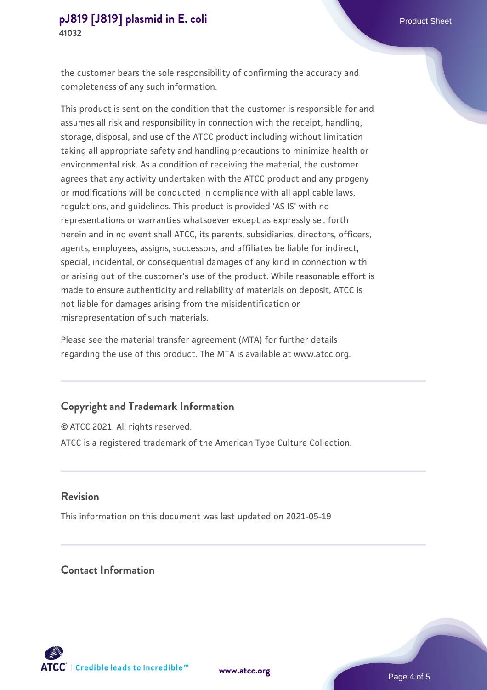the customer bears the sole responsibility of confirming the accuracy and completeness of any such information.

This product is sent on the condition that the customer is responsible for and assumes all risk and responsibility in connection with the receipt, handling, storage, disposal, and use of the ATCC product including without limitation taking all appropriate safety and handling precautions to minimize health or environmental risk. As a condition of receiving the material, the customer agrees that any activity undertaken with the ATCC product and any progeny or modifications will be conducted in compliance with all applicable laws, regulations, and guidelines. This product is provided 'AS IS' with no representations or warranties whatsoever except as expressly set forth herein and in no event shall ATCC, its parents, subsidiaries, directors, officers, agents, employees, assigns, successors, and affiliates be liable for indirect, special, incidental, or consequential damages of any kind in connection with or arising out of the customer's use of the product. While reasonable effort is made to ensure authenticity and reliability of materials on deposit, ATCC is not liable for damages arising from the misidentification or misrepresentation of such materials.

Please see the material transfer agreement (MTA) for further details regarding the use of this product. The MTA is available at www.atcc.org.

#### **Copyright and Trademark Information**

© ATCC 2021. All rights reserved. ATCC is a registered trademark of the American Type Culture Collection.

#### **Revision**

This information on this document was last updated on 2021-05-19

## **Contact Information**